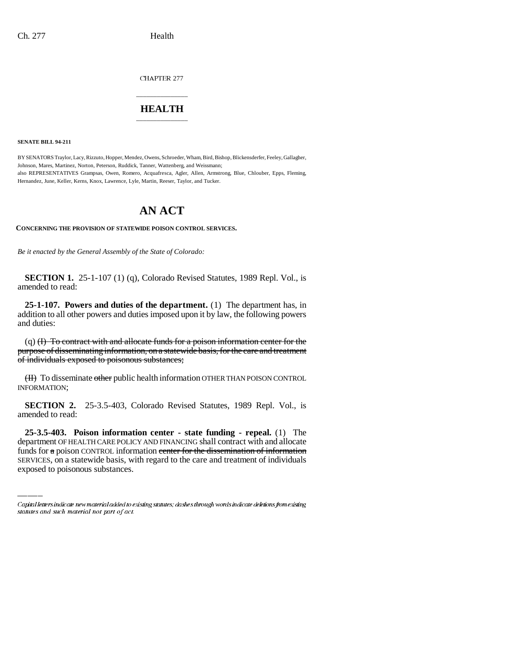CHAPTER 277

## \_\_\_\_\_\_\_\_\_\_\_\_\_\_\_ **HEALTH** \_\_\_\_\_\_\_\_\_\_\_\_\_\_\_

**SENATE BILL 94-211**

BY SENATORS Traylor, Lacy, Rizzuto, Hopper, Mendez, Owens, Schroeder, Wham, Bird, Bishop, Blickensderfer, Feeley, Gallagher, Johnson, Mares, Martinez, Norton, Peterson, Ruddick, Tanner, Wattenberg, and Weissmann; also REPRESENTATIVES Grampsas, Owen, Romero, Acquafresca, Agler, Allen, Armstrong, Blue, Chlouber, Epps, Fleming, Hernandez, June, Keller, Kerns, Knox, Lawrence, Lyle, Martin, Reeser, Taylor, and Tucker.

# **AN ACT**

**CONCERNING THE PROVISION OF STATEWIDE POISON CONTROL SERVICES.**

*Be it enacted by the General Assembly of the State of Colorado:*

**SECTION 1.** 25-1-107 (1) (q), Colorado Revised Statutes, 1989 Repl. Vol., is amended to read:

**25-1-107. Powers and duties of the department.** (1) The department has, in addition to all other powers and duties imposed upon it by law, the following powers and duties:

(q) (I) To contract with and allocate funds for a poison information center for the purpose of disseminating information, on a statewide basis, for the care and treatment of individuals exposed to poisonous substances;

(II) To disseminate other public health information OTHER THAN POISON CONTROL INFORMATION;

**SECTION 2.** 25-3.5-403, Colorado Revised Statutes, 1989 Repl. Vol., is amended to read:

 **25-3.5-403. Poison information center - state funding - repeal.** (1) The department OF HEALTH CARE POLICY AND FINANCING shall contract with and allocate funds for a poison CONTROL information center for the dissemination of information SERVICES, on a statewide basis, with regard to the care and treatment of individuals exposed to poisonous substances.

Capital letters indicate new material added to existing statutes; dashes through words indicate deletions from existing statutes and such material not part of act.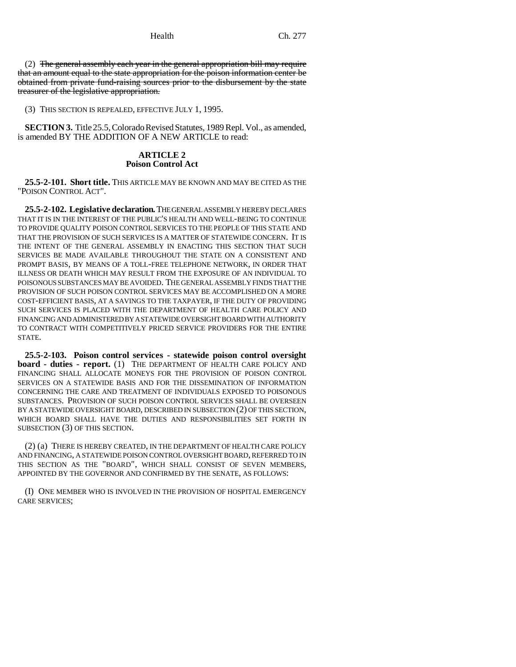(2) The general assembly each year in the general appropriation bill may require that an amount equal to the state appropriation for the poison information center be obtained from private fund-raising sources prior to the disbursement by the state treasurer of the legislative appropriation.

(3) THIS SECTION IS REPEALED, EFFECTIVE JULY 1, 1995.

**SECTION 3.** Title 25.5, Colorado Revised Statutes, 1989 Repl. Vol., as amended, is amended BY THE ADDITION OF A NEW ARTICLE to read:

### **ARTICLE 2 Poison Control Act**

**25.5-2-101. Short title.** THIS ARTICLE MAY BE KNOWN AND MAY BE CITED AS THE "POISON CONTROL ACT".

**25.5-2-102. Legislative declaration.** THE GENERAL ASSEMBLY HEREBY DECLARES THAT IT IS IN THE INTEREST OF THE PUBLIC'S HEALTH AND WELL-BEING TO CONTINUE TO PROVIDE QUALITY POISON CONTROL SERVICES TO THE PEOPLE OF THIS STATE AND THAT THE PROVISION OF SUCH SERVICES IS A MATTER OF STATEWIDE CONCERN. IT IS THE INTENT OF THE GENERAL ASSEMBLY IN ENACTING THIS SECTION THAT SUCH SERVICES BE MADE AVAILABLE THROUGHOUT THE STATE ON A CONSISTENT AND PROMPT BASIS, BY MEANS OF A TOLL-FREE TELEPHONE NETWORK, IN ORDER THAT ILLNESS OR DEATH WHICH MAY RESULT FROM THE EXPOSURE OF AN INDIVIDUAL TO POISONOUS SUBSTANCES MAY BE AVOIDED. THE GENERAL ASSEMBLY FINDS THAT THE PROVISION OF SUCH POISON CONTROL SERVICES MAY BE ACCOMPLISHED ON A MORE COST-EFFICIENT BASIS, AT A SAVINGS TO THE TAXPAYER, IF THE DUTY OF PROVIDING SUCH SERVICES IS PLACED WITH THE DEPARTMENT OF HEALTH CARE POLICY AND FINANCING AND ADMINISTERED BY A STATEWIDE OVERSIGHT BOARD WITH AUTHORITY TO CONTRACT WITH COMPETITIVELY PRICED SERVICE PROVIDERS FOR THE ENTIRE STATE.

**25.5-2-103. Poison control services - statewide poison control oversight board - duties - report.** (1) THE DEPARTMENT OF HEALTH CARE POLICY AND FINANCING SHALL ALLOCATE MONEYS FOR THE PROVISION OF POISON CONTROL SERVICES ON A STATEWIDE BASIS AND FOR THE DISSEMINATION OF INFORMATION CONCERNING THE CARE AND TREATMENT OF INDIVIDUALS EXPOSED TO POISONOUS SUBSTANCES. PROVISION OF SUCH POISON CONTROL SERVICES SHALL BE OVERSEEN BY A STATEWIDE OVERSIGHT BOARD, DESCRIBED IN SUBSECTION (2) OF THIS SECTION, WHICH BOARD SHALL HAVE THE DUTIES AND RESPONSIBILITIES SET FORTH IN SUBSECTION (3) OF THIS SECTION.

(2) (a) THERE IS HEREBY CREATED, IN THE DEPARTMENT OF HEALTH CARE POLICY AND FINANCING, A STATEWIDE POISON CONTROL OVERSIGHT BOARD, REFERRED TO IN THIS SECTION AS THE "BOARD", WHICH SHALL CONSIST OF SEVEN MEMBERS, APPOINTED BY THE GOVERNOR AND CONFIRMED BY THE SENATE, AS FOLLOWS:

(I) ONE MEMBER WHO IS INVOLVED IN THE PROVISION OF HOSPITAL EMERGENCY CARE SERVICES;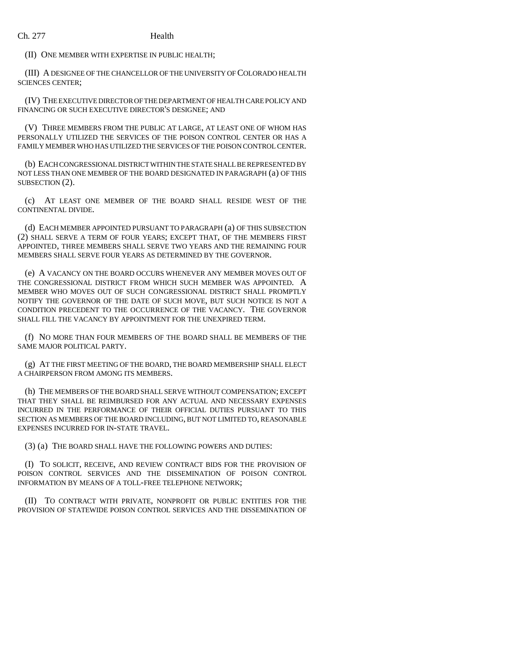(II) ONE MEMBER WITH EXPERTISE IN PUBLIC HEALTH;

(III) A DESIGNEE OF THE CHANCELLOR OF THE UNIVERSITY OF COLORADO HEALTH SCIENCES CENTER;

(IV) THE EXECUTIVE DIRECTOR OF THE DEPARTMENT OF HEALTH CARE POLICY AND FINANCING OR SUCH EXECUTIVE DIRECTOR'S DESIGNEE; AND

(V) THREE MEMBERS FROM THE PUBLIC AT LARGE, AT LEAST ONE OF WHOM HAS PERSONALLY UTILIZED THE SERVICES OF THE POISON CONTROL CENTER OR HAS A FAMILY MEMBER WHO HAS UTILIZED THE SERVICES OF THE POISON CONTROL CENTER.

(b) EACH CONGRESSIONAL DISTRICT WITHIN THE STATE SHALL BE REPRESENTED BY NOT LESS THAN ONE MEMBER OF THE BOARD DESIGNATED IN PARAGRAPH (a) OF THIS SUBSECTION (2).

(c) AT LEAST ONE MEMBER OF THE BOARD SHALL RESIDE WEST OF THE CONTINENTAL DIVIDE.

(d) EACH MEMBER APPOINTED PURSUANT TO PARAGRAPH (a) OF THIS SUBSECTION (2) SHALL SERVE A TERM OF FOUR YEARS; EXCEPT THAT, OF THE MEMBERS FIRST APPOINTED, THREE MEMBERS SHALL SERVE TWO YEARS AND THE REMAINING FOUR MEMBERS SHALL SERVE FOUR YEARS AS DETERMINED BY THE GOVERNOR.

(e) A VACANCY ON THE BOARD OCCURS WHENEVER ANY MEMBER MOVES OUT OF THE CONGRESSIONAL DISTRICT FROM WHICH SUCH MEMBER WAS APPOINTED. A MEMBER WHO MOVES OUT OF SUCH CONGRESSIONAL DISTRICT SHALL PROMPTLY NOTIFY THE GOVERNOR OF THE DATE OF SUCH MOVE, BUT SUCH NOTICE IS NOT A CONDITION PRECEDENT TO THE OCCURRENCE OF THE VACANCY. THE GOVERNOR SHALL FILL THE VACANCY BY APPOINTMENT FOR THE UNEXPIRED TERM.

(f) NO MORE THAN FOUR MEMBERS OF THE BOARD SHALL BE MEMBERS OF THE SAME MAJOR POLITICAL PARTY.

(g) AT THE FIRST MEETING OF THE BOARD, THE BOARD MEMBERSHIP SHALL ELECT A CHAIRPERSON FROM AMONG ITS MEMBERS.

(h) THE MEMBERS OF THE BOARD SHALL SERVE WITHOUT COMPENSATION; EXCEPT THAT THEY SHALL BE REIMBURSED FOR ANY ACTUAL AND NECESSARY EXPENSES INCURRED IN THE PERFORMANCE OF THEIR OFFICIAL DUTIES PURSUANT TO THIS SECTION AS MEMBERS OF THE BOARD INCLUDING, BUT NOT LIMITED TO, REASONABLE EXPENSES INCURRED FOR IN-STATE TRAVEL.

(3) (a) THE BOARD SHALL HAVE THE FOLLOWING POWERS AND DUTIES:

(I) TO SOLICIT, RECEIVE, AND REVIEW CONTRACT BIDS FOR THE PROVISION OF POISON CONTROL SERVICES AND THE DISSEMINATION OF POISON CONTROL INFORMATION BY MEANS OF A TOLL-FREE TELEPHONE NETWORK;

(II) TO CONTRACT WITH PRIVATE, NONPROFIT OR PUBLIC ENTITIES FOR THE PROVISION OF STATEWIDE POISON CONTROL SERVICES AND THE DISSEMINATION OF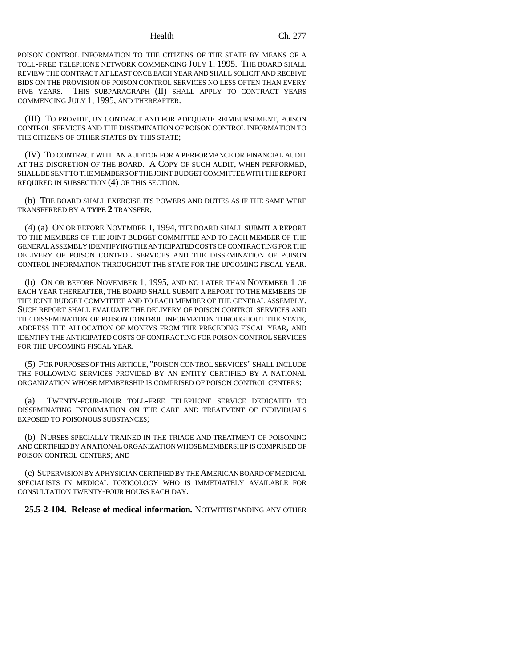POISON CONTROL INFORMATION TO THE CITIZENS OF THE STATE BY MEANS OF A TOLL-FREE TELEPHONE NETWORK COMMENCING JULY 1, 1995. THE BOARD SHALL REVIEW THE CONTRACT AT LEAST ONCE EACH YEAR AND SHALL SOLICIT AND RECEIVE BIDS ON THE PROVISION OF POISON CONTROL SERVICES NO LESS OFTEN THAN EVERY FIVE YEARS. THIS SUBPARAGRAPH (II) SHALL APPLY TO CONTRACT YEARS COMMENCING JULY 1, 1995, AND THEREAFTER.

(III) TO PROVIDE, BY CONTRACT AND FOR ADEQUATE REIMBURSEMENT, POISON CONTROL SERVICES AND THE DISSEMINATION OF POISON CONTROL INFORMATION TO THE CITIZENS OF OTHER STATES BY THIS STATE;

(IV) TO CONTRACT WITH AN AUDITOR FOR A PERFORMANCE OR FINANCIAL AUDIT AT THE DISCRETION OF THE BOARD. A COPY OF SUCH AUDIT, WHEN PERFORMED, SHALL BE SENT TO THE MEMBERS OF THE JOINT BUDGET COMMITTEE WITH THE REPORT REQUIRED IN SUBSECTION (4) OF THIS SECTION.

(b) THE BOARD SHALL EXERCISE ITS POWERS AND DUTIES AS IF THE SAME WERE TRANSFERRED BY A **TYPE 2** TRANSFER.

(4) (a) ON OR BEFORE NOVEMBER 1, 1994, THE BOARD SHALL SUBMIT A REPORT TO THE MEMBERS OF THE JOINT BUDGET COMMITTEE AND TO EACH MEMBER OF THE GENERAL ASSEMBLY IDENTIFYING THE ANTICIPATED COSTS OF CONTRACTING FOR THE DELIVERY OF POISON CONTROL SERVICES AND THE DISSEMINATION OF POISON CONTROL INFORMATION THROUGHOUT THE STATE FOR THE UPCOMING FISCAL YEAR.

(b) ON OR BEFORE NOVEMBER 1, 1995, AND NO LATER THAN NOVEMBER 1 OF EACH YEAR THEREAFTER, THE BOARD SHALL SUBMIT A REPORT TO THE MEMBERS OF THE JOINT BUDGET COMMITTEE AND TO EACH MEMBER OF THE GENERAL ASSEMBLY. SUCH REPORT SHALL EVALUATE THE DELIVERY OF POISON CONTROL SERVICES AND THE DISSEMINATION OF POISON CONTROL INFORMATION THROUGHOUT THE STATE, ADDRESS THE ALLOCATION OF MONEYS FROM THE PRECEDING FISCAL YEAR, AND IDENTIFY THE ANTICIPATED COSTS OF CONTRACTING FOR POISON CONTROL SERVICES FOR THE UPCOMING FISCAL YEAR.

(5) FOR PURPOSES OF THIS ARTICLE, "POISON CONTROL SERVICES" SHALL INCLUDE THE FOLLOWING SERVICES PROVIDED BY AN ENTITY CERTIFIED BY A NATIONAL ORGANIZATION WHOSE MEMBERSHIP IS COMPRISED OF POISON CONTROL CENTERS:

(a) TWENTY-FOUR-HOUR TOLL-FREE TELEPHONE SERVICE DEDICATED TO DISSEMINATING INFORMATION ON THE CARE AND TREATMENT OF INDIVIDUALS EXPOSED TO POISONOUS SUBSTANCES;

(b) NURSES SPECIALLY TRAINED IN THE TRIAGE AND TREATMENT OF POISONING AND CERTIFIED BY A NATIONAL ORGANIZATION WHOSE MEMBERSHIP IS COMPRISED OF POISON CONTROL CENTERS; AND

(c) SUPERVISION BY A PHYSICIAN CERTIFIED BY THE AMERICAN BOARD OF MEDICAL SPECIALISTS IN MEDICAL TOXICOLOGY WHO IS IMMEDIATELY AVAILABLE FOR CONSULTATION TWENTY-FOUR HOURS EACH DAY.

**25.5-2-104. Release of medical information.** NOTWITHSTANDING ANY OTHER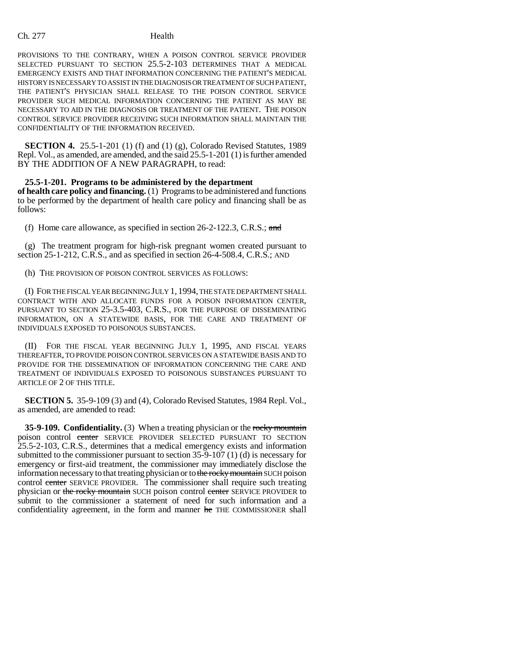### Ch. 277 Health

PROVISIONS TO THE CONTRARY, WHEN A POISON CONTROL SERVICE PROVIDER SELECTED PURSUANT TO SECTION 25.5-2-103 DETERMINES THAT A MEDICAL EMERGENCY EXISTS AND THAT INFORMATION CONCERNING THE PATIENT'S MEDICAL HISTORY IS NECESSARY TO ASSIST IN THE DIAGNOSIS OR TREATMENT OF SUCH PATIENT, THE PATIENT'S PHYSICIAN SHALL RELEASE TO THE POISON CONTROL SERVICE PROVIDER SUCH MEDICAL INFORMATION CONCERNING THE PATIENT AS MAY BE NECESSARY TO AID IN THE DIAGNOSIS OR TREATMENT OF THE PATIENT. THE POISON CONTROL SERVICE PROVIDER RECEIVING SUCH INFORMATION SHALL MAINTAIN THE CONFIDENTIALITY OF THE INFORMATION RECEIVED.

**SECTION 4.** 25.5-1-201 (1) (f) and (1) (g), Colorado Revised Statutes, 1989 Repl. Vol., as amended, are amended, and the said 25.5-1-201 (1) is further amended BY THE ADDITION OF A NEW PARAGRAPH, to read:

**25.5-1-201. Programs to be administered by the department of health care policy and financing.** (1) Programs to be administered and functions to be performed by the department of health care policy and financing shall be as follows:

(f) Home care allowance, as specified in section 26-2-122.3, C.R.S.; and

(g) The treatment program for high-risk pregnant women created pursuant to section 25-1-212, C.R.S., and as specified in section 26-4-508.4, C.R.S.; AND

(h) THE PROVISION OF POISON CONTROL SERVICES AS FOLLOWS:

(I) FOR THE FISCAL YEAR BEGINNING JULY 1, 1994, THE STATE DEPARTMENT SHALL CONTRACT WITH AND ALLOCATE FUNDS FOR A POISON INFORMATION CENTER, PURSUANT TO SECTION 25-3.5-403, C.R.S., FOR THE PURPOSE OF DISSEMINATING INFORMATION, ON A STATEWIDE BASIS, FOR THE CARE AND TREATMENT OF INDIVIDUALS EXPOSED TO POISONOUS SUBSTANCES.

(II) FOR THE FISCAL YEAR BEGINNING JULY 1, 1995, AND FISCAL YEARS THEREAFTER, TO PROVIDE POISON CONTROL SERVICES ON A STATEWIDE BASIS AND TO PROVIDE FOR THE DISSEMINATION OF INFORMATION CONCERNING THE CARE AND TREATMENT OF INDIVIDUALS EXPOSED TO POISONOUS SUBSTANCES PURSUANT TO ARTICLE OF 2 OF THIS TITLE.

**SECTION 5.** 35-9-109 (3) and (4), Colorado Revised Statutes, 1984 Repl. Vol., as amended, are amended to read:

**35-9-109. Confidentiality.** (3) When a treating physician or the rocky mountain poison control center SERVICE PROVIDER SELECTED PURSUANT TO SECTION 25.5-2-103, C.R.S., determines that a medical emergency exists and information submitted to the commissioner pursuant to section 35-9-107 (1) (d) is necessary for emergency or first-aid treatment, the commissioner may immediately disclose the information necessary to that treating physician or to the rocky mountain SUCH poison control center SERVICE PROVIDER. The commissioner shall require such treating physician or the rocky mountain SUCH poison control center SERVICE PROVIDER to submit to the commissioner a statement of need for such information and a confidentiality agreement, in the form and manner he THE COMMISSIONER shall